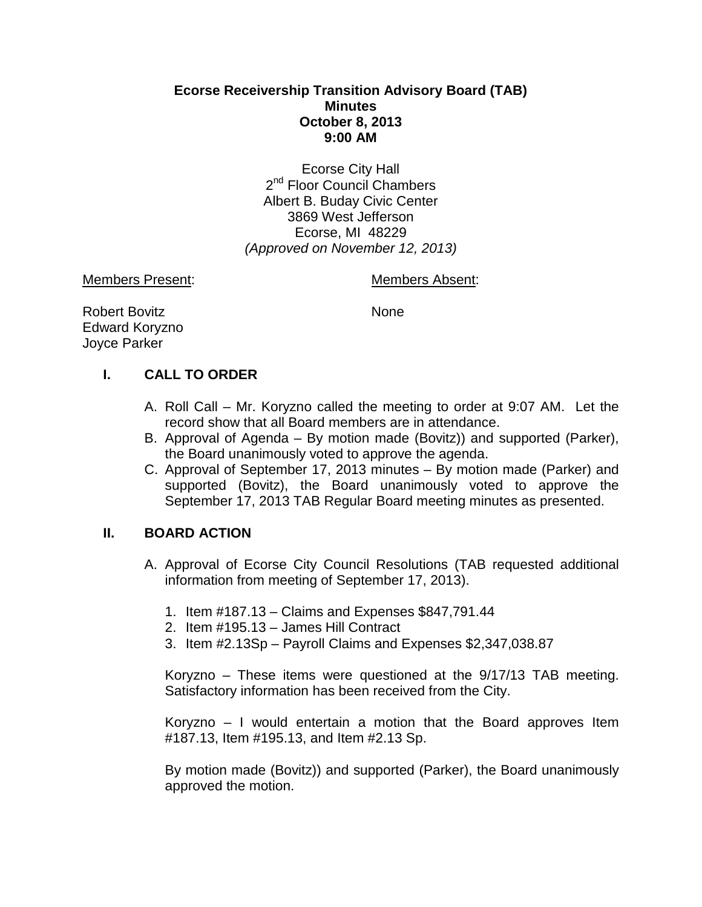## **Ecorse Receivership Transition Advisory Board (TAB) Minutes October 8, 2013 9:00 AM**

Ecorse City Hall 2<sup>nd</sup> Floor Council Chambers Albert B. Buday Civic Center 3869 West Jefferson Ecorse, MI 48229 *(Approved on November 12, 2013)*

Members Present: Members Absent:

Robert Bovitz None Edward Koryzno Joyce Parker

# **I. CALL TO ORDER**

- A. Roll Call Mr. Koryzno called the meeting to order at 9:07 AM. Let the record show that all Board members are in attendance.
- B. Approval of Agenda By motion made (Bovitz)) and supported (Parker), the Board unanimously voted to approve the agenda.
- C. Approval of September 17, 2013 minutes By motion made (Parker) and supported (Bovitz), the Board unanimously voted to approve the September 17, 2013 TAB Regular Board meeting minutes as presented.

# **II. BOARD ACTION**

- A. Approval of Ecorse City Council Resolutions (TAB requested additional information from meeting of September 17, 2013).
	- 1. Item #187.13 Claims and Expenses \$847,791.44
	- 2. Item #195.13 James Hill Contract
	- 3. Item #2.13Sp Payroll Claims and Expenses \$2,347,038.87

Koryzno – These items were questioned at the 9/17/13 TAB meeting. Satisfactory information has been received from the City.

Koryzno – I would entertain a motion that the Board approves Item #187.13, Item #195.13, and Item #2.13 Sp.

By motion made (Bovitz)) and supported (Parker), the Board unanimously approved the motion.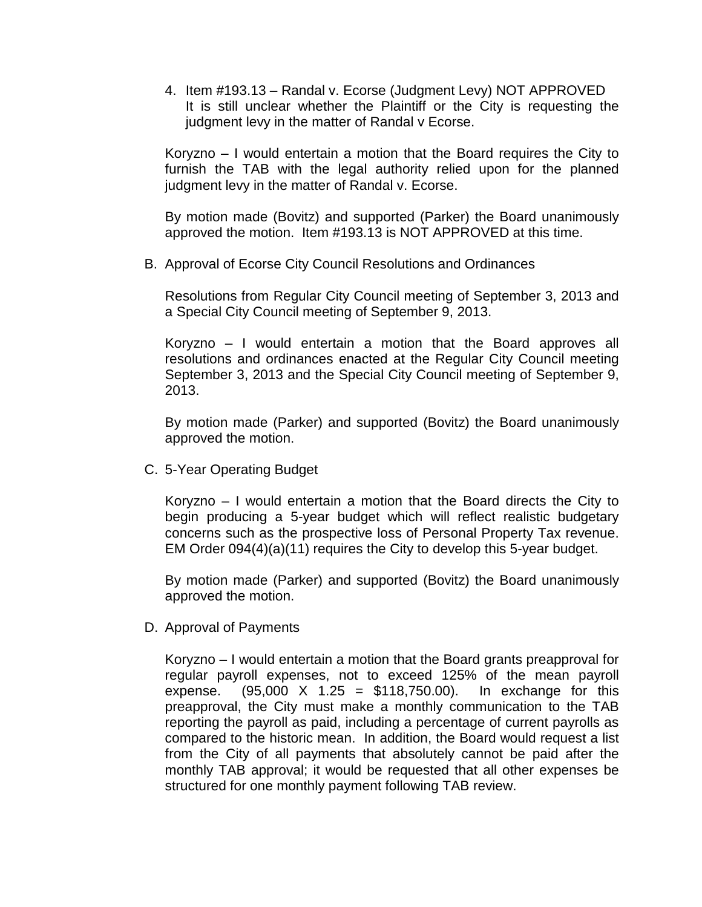4. Item #193.13 – Randal v. Ecorse (Judgment Levy) NOT APPROVED It is still unclear whether the Plaintiff or the City is requesting the judgment levy in the matter of Randal v Ecorse.

Koryzno – I would entertain a motion that the Board requires the City to furnish the TAB with the legal authority relied upon for the planned judgment levy in the matter of Randal v. Ecorse.

By motion made (Bovitz) and supported (Parker) the Board unanimously approved the motion. Item #193.13 is NOT APPROVED at this time.

B. Approval of Ecorse City Council Resolutions and Ordinances

Resolutions from Regular City Council meeting of September 3, 2013 and a Special City Council meeting of September 9, 2013.

Koryzno – I would entertain a motion that the Board approves all resolutions and ordinances enacted at the Regular City Council meeting September 3, 2013 and the Special City Council meeting of September 9, 2013.

By motion made (Parker) and supported (Bovitz) the Board unanimously approved the motion.

C. 5-Year Operating Budget

Koryzno – I would entertain a motion that the Board directs the City to begin producing a 5-year budget which will reflect realistic budgetary concerns such as the prospective loss of Personal Property Tax revenue. EM Order 094(4)(a)(11) requires the City to develop this 5-year budget.

By motion made (Parker) and supported (Bovitz) the Board unanimously approved the motion.

D. Approval of Payments

Koryzno – I would entertain a motion that the Board grants preapproval for regular payroll expenses, not to exceed 125% of the mean payroll expense.  $(95,000 \times 1.25 = $118,750.00)$ . In exchange for this preapproval, the City must make a monthly communication to the TAB reporting the payroll as paid, including a percentage of current payrolls as compared to the historic mean. In addition, the Board would request a list from the City of all payments that absolutely cannot be paid after the monthly TAB approval; it would be requested that all other expenses be structured for one monthly payment following TAB review.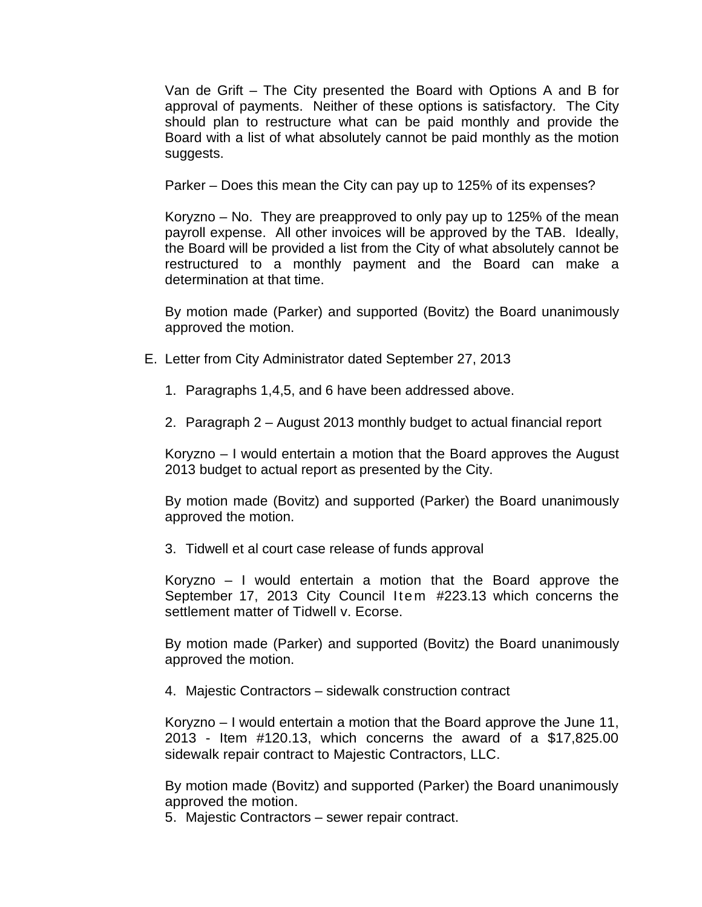Van de Grift – The City presented the Board with Options A and B for approval of payments. Neither of these options is satisfactory. The City should plan to restructure what can be paid monthly and provide the Board with a list of what absolutely cannot be paid monthly as the motion suggests.

Parker – Does this mean the City can pay up to 125% of its expenses?

Koryzno – No. They are preapproved to only pay up to 125% of the mean payroll expense. All other invoices will be approved by the TAB. Ideally, the Board will be provided a list from the City of what absolutely cannot be restructured to a monthly payment and the Board can make a determination at that time.

By motion made (Parker) and supported (Bovitz) the Board unanimously approved the motion.

- E. Letter from City Administrator dated September 27, 2013
	- 1. Paragraphs 1,4,5, and 6 have been addressed above.
	- 2. Paragraph 2 August 2013 monthly budget to actual financial report

Koryzno – I would entertain a motion that the Board approves the August 2013 budget to actual report as presented by the City.

By motion made (Bovitz) and supported (Parker) the Board unanimously approved the motion.

3. Tidwell et al court case release of funds approval

Koryzno – I would entertain a motion that the Board approve the September 17, 2013 City Council Item #223.13 which concerns the settlement matter of Tidwell v. Ecorse.

By motion made (Parker) and supported (Bovitz) the Board unanimously approved the motion.

4. Majestic Contractors – sidewalk construction contract

Koryzno – I would entertain a motion that the Board approve the June 11, 2013 - Item #120.13, which concerns the award of a \$17,825.00 sidewalk repair contract to Majestic Contractors, LLC.

By motion made (Bovitz) and supported (Parker) the Board unanimously approved the motion.

5. Majestic Contractors – sewer repair contract.